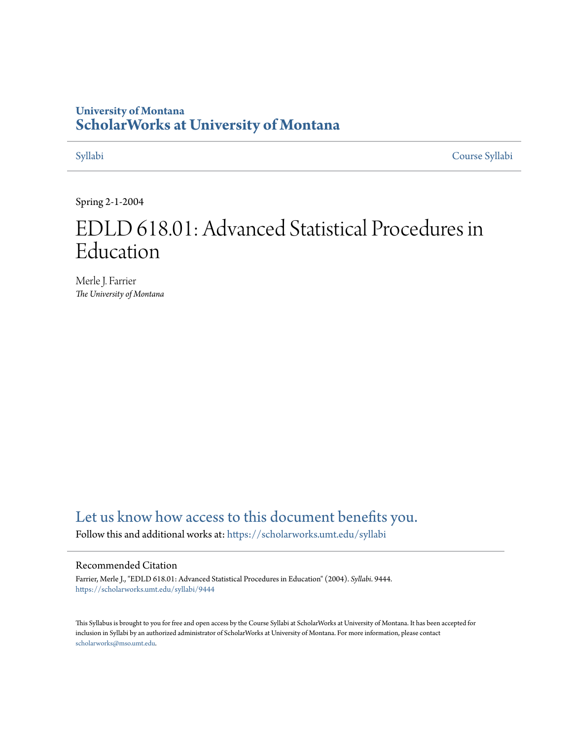# **University of Montana [ScholarWorks at University of Montana](https://scholarworks.umt.edu?utm_source=scholarworks.umt.edu%2Fsyllabi%2F9444&utm_medium=PDF&utm_campaign=PDFCoverPages)**

[Syllabi](https://scholarworks.umt.edu/syllabi?utm_source=scholarworks.umt.edu%2Fsyllabi%2F9444&utm_medium=PDF&utm_campaign=PDFCoverPages) [Course Syllabi](https://scholarworks.umt.edu/course_syllabi?utm_source=scholarworks.umt.edu%2Fsyllabi%2F9444&utm_medium=PDF&utm_campaign=PDFCoverPages)

Spring 2-1-2004

# EDLD 618.01: Advanced Statistical Procedures in Education

Merle J. Farrier *The University of Montana*

# [Let us know how access to this document benefits you.](https://goo.gl/forms/s2rGfXOLzz71qgsB2)

Follow this and additional works at: [https://scholarworks.umt.edu/syllabi](https://scholarworks.umt.edu/syllabi?utm_source=scholarworks.umt.edu%2Fsyllabi%2F9444&utm_medium=PDF&utm_campaign=PDFCoverPages)

#### Recommended Citation

Farrier, Merle J., "EDLD 618.01: Advanced Statistical Procedures in Education" (2004). *Syllabi*. 9444. [https://scholarworks.umt.edu/syllabi/9444](https://scholarworks.umt.edu/syllabi/9444?utm_source=scholarworks.umt.edu%2Fsyllabi%2F9444&utm_medium=PDF&utm_campaign=PDFCoverPages)

This Syllabus is brought to you for free and open access by the Course Syllabi at ScholarWorks at University of Montana. It has been accepted for inclusion in Syllabi by an authorized administrator of ScholarWorks at University of Montana. For more information, please contact [scholarworks@mso.umt.edu](mailto:scholarworks@mso.umt.edu).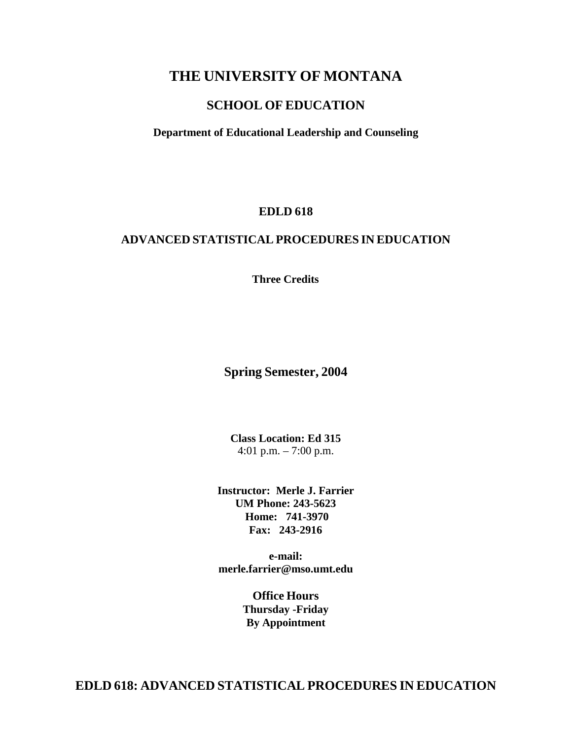# **THE UNIVERSITY OF MONTANA**

# **SCHOOL OF EDUCATION**

**Department of Educational Leadership and Counseling**

### **EDLD 618**

### **ADVANCED STATISTICAL PROCEDURES IN EDUCATION**

**Three Credits**

### **Spring Semester, 2004**

**Class Location: Ed 315** 4:01 p.m. – 7:00 p.m.

**Instructor: Merle J. Farrier UM Phone: 243-5623 Home: 741-3970 Fax: 243-2916**

**e-mail[:](mailto:merle.farrier@mso.umt.edu) [merle.farrier@mso.umt.edu](mailto:merle.farrier@mso.umt.edu)**

> **Office Hours Thursday -Friday By Appointment**

**EDLD 618: ADVANCED STATISTICAL PROCEDURES IN EDUCATION**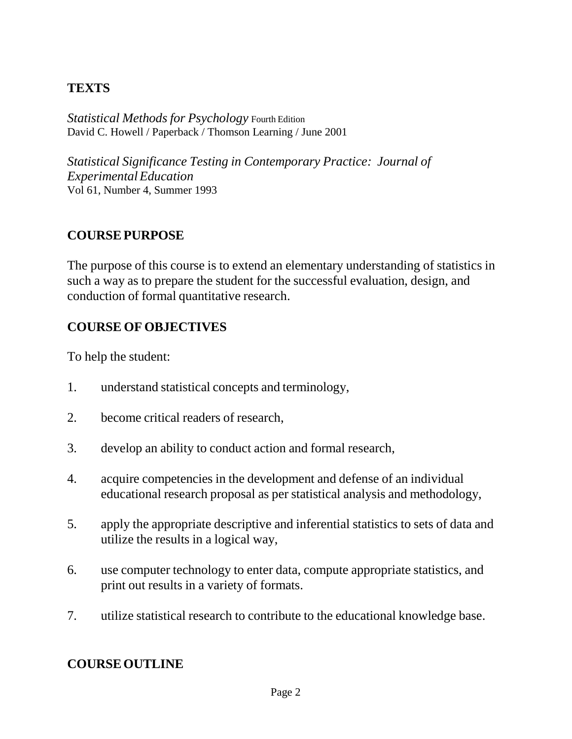# **TEXTS**

*Statistical Methods for Psychology* Fourth Edition David C. Howell / Paperback / Thomson Learning / June 2001

*Statistical Significance Testing in Contemporary Practice: Journal of ExperimentalEducation* Vol 61, Number 4, Summer 1993

# **COURSEPURPOSE**

The purpose of this course is to extend an elementary understanding of statistics in such a way as to prepare the student for the successful evaluation, design, and conduction of formal quantitative research.

# **COURSE OF OBJECTIVES**

To help the student:

- 1. understand statistical concepts and terminology,
- 2. become critical readers of research,
- 3. develop an ability to conduct action and formal research,
- 4. acquire competencies in the development and defense of an individual educational research proposal as per statistical analysis and methodology,
- 5. apply the appropriate descriptive and inferential statistics to sets of data and utilize the results in a logical way,
- 6. use computer technology to enter data, compute appropriate statistics, and print out results in a variety of formats.
- 7. utilize statistical research to contribute to the educational knowledge base.

# **COURSEOUTLINE**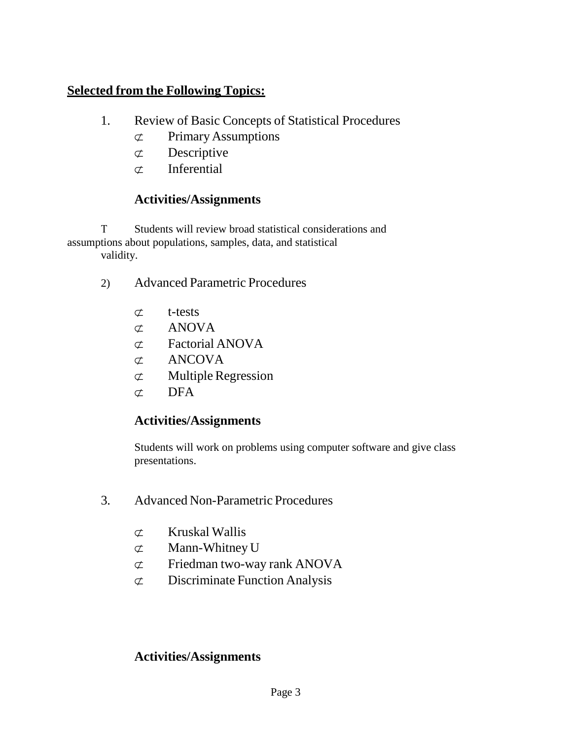# **Selected from the Following Topics:**

- 1. Review of Basic Concepts of Statistical Procedures
	- ⊄ Primary Assumptions
	- ⊄ Descriptive
	- ⊄ Inferential

# **Activities/Assignments**

Τ Students will review broad statistical considerations and assumptions about populations, samples, data, and statistical validity.

- 2) Advanced Parametric Procedures
	- ⊄ t-tests
	- ⊄ ANOVA
	- ⊄ Factorial ANOVA
	- ⊄ ANCOVA
	- $\sigma$  Multiple Regression
	- $\sigma$  DFA

# **Activities/Assignments**

Students will work on problems using computer software and give class presentations.

- 3. Advanced Non-Parametric Procedures
	- ⊄ Kruskal Wallis
	- ⊄ Mann-Whitney U
	- ⊄ Friedman two-way rank ANOVA
	- ⊄ Discriminate Function Analysis

# **Activities/Assignments**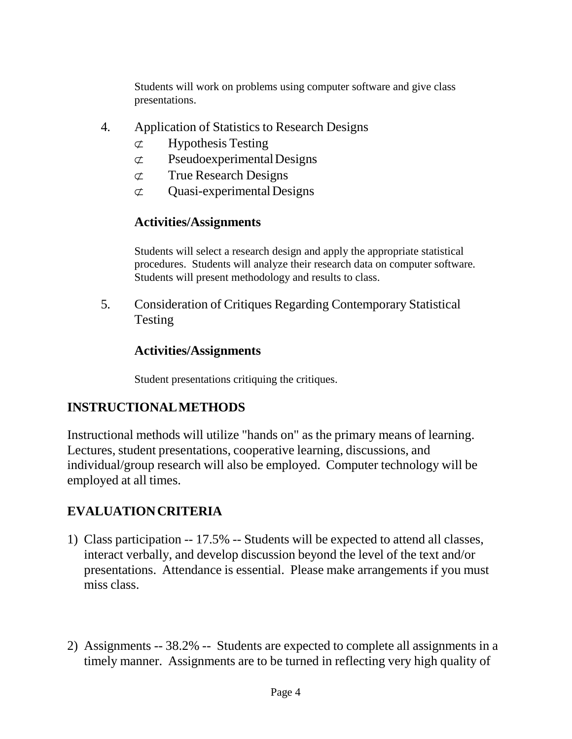Students will work on problems using computer software and give class presentations.

- 4. Application of Statistics to Research Designs
	- ⊄ Hypothesis Testing
	- ⊄ PseudoexperimentalDesigns
	- ⊄ True Research Designs
	- $\sigma$  Ouasi-experimental Designs

# **Activities/Assignments**

Students will select a research design and apply the appropriate statistical procedures. Students will analyze their research data on computer software. Students will present methodology and results to class.

5. Consideration of Critiques Regarding Contemporary Statistical Testing

# **Activities/Assignments**

Student presentations critiquing the critiques.

# **INSTRUCTIONALMETHODS**

Instructional methods will utilize "hands on" as the primary means of learning. Lectures, student presentations, cooperative learning, discussions, and individual/group research will also be employed. Computer technology will be employed at all times.

# **EVALUATIONCRITERIA**

- 1) Class participation -- 17.5% -- Students will be expected to attend all classes, interact verbally, and develop discussion beyond the level of the text and/or presentations. Attendance is essential. Please make arrangements if you must miss class.
- 2) Assignments -- 38.2% -- Students are expected to complete all assignments in a timely manner. Assignments are to be turned in reflecting very high quality of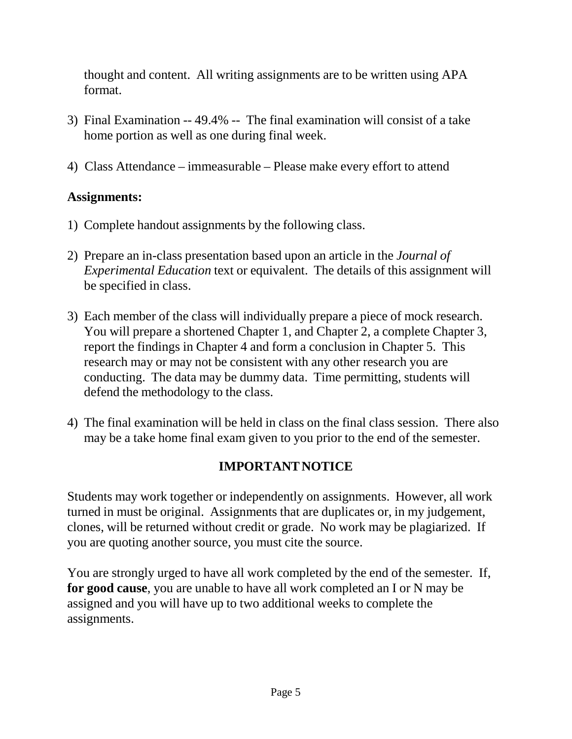thought and content. All writing assignments are to be written using APA format.

- 3) Final Examination -- 49.4% -- The final examination will consist of a take home portion as well as one during final week.
- 4) Class Attendance immeasurable Please make every effort to attend

# **Assignments:**

- 1) Complete handout assignments by the following class.
- 2) Prepare an in-class presentation based upon an article in the *Journal of Experimental Education* text or equivalent. The details of this assignment will be specified in class.
- 3) Each member of the class will individually prepare a piece of mock research. You will prepare a shortened Chapter 1, and Chapter 2, a complete Chapter 3, report the findings in Chapter 4 and form a conclusion in Chapter 5. This research may or may not be consistent with any other research you are conducting. The data may be dummy data. Time permitting, students will defend the methodology to the class.
- 4) The final examination will be held in class on the final class session. There also may be a take home final exam given to you prior to the end of the semester.

# **IMPORTANTNOTICE**

Students may work together or independently on assignments. However, all work turned in must be original. Assignments that are duplicates or, in my judgement, clones, will be returned without credit or grade. No work may be plagiarized. If you are quoting another source, you must cite the source.

You are strongly urged to have all work completed by the end of the semester. If, **for good cause**, you are unable to have all work completed an I or N may be assigned and you will have up to two additional weeks to complete the assignments.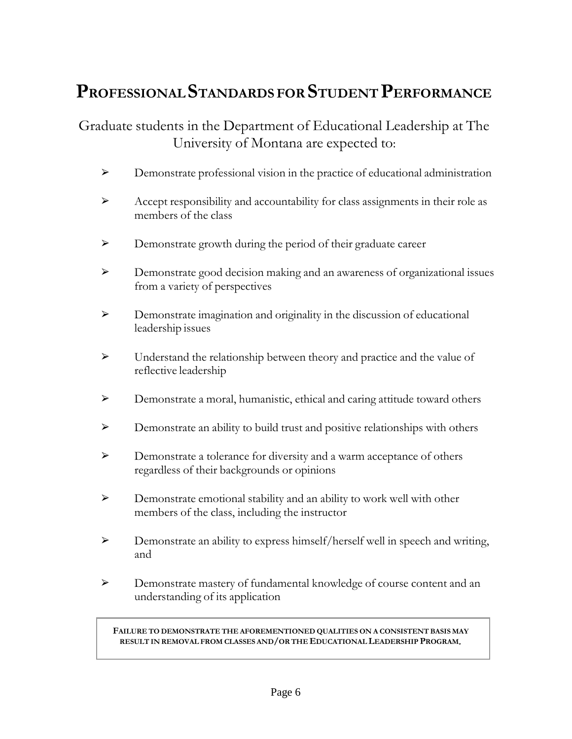# **PROFESSIONAL STANDARDS FOR STUDENT PERFORMANCE**

Graduate students in the Department of Educational Leadership at The University of Montana are expected to:

- ➢ Demonstrate professional vision in the practice of educational administration
- ➢ Accept responsibility and accountability for class assignments in their role as members of the class
- ➢ Demonstrate growth during the period of their graduate career
- ➢ Demonstrate good decision making and an awareness of organizational issues from a variety of perspectives
- ➢ Demonstrate imagination and originality in the discussion of educational leadership issues
- ➢ Understand the relationship between theory and practice and the value of reflective leadership
- ➢ Demonstrate a moral, humanistic, ethical and caring attitude toward others
- ➢ Demonstrate an ability to build trust and positive relationships with others
- ➢ Demonstrate a tolerance for diversity and a warm acceptance of others regardless of their backgrounds or opinions
- ➢ Demonstrate emotional stability and an ability to work well with other members of the class, including the instructor
- ➢ Demonstrate an ability to express himself/herself well in speech and writing, and
- ➢ Demonstrate mastery of fundamental knowledge of course content and an understanding of its application

**FAILURE TO DEMONSTRATE THE AFOREMENTIONED QUALITIES ON A CONSISTENT BASIS MAY RESULT IN REMOVAL FROM CLASSES AND/OR THE EDUCATIONAL LEADERSHIP PROGRAM**.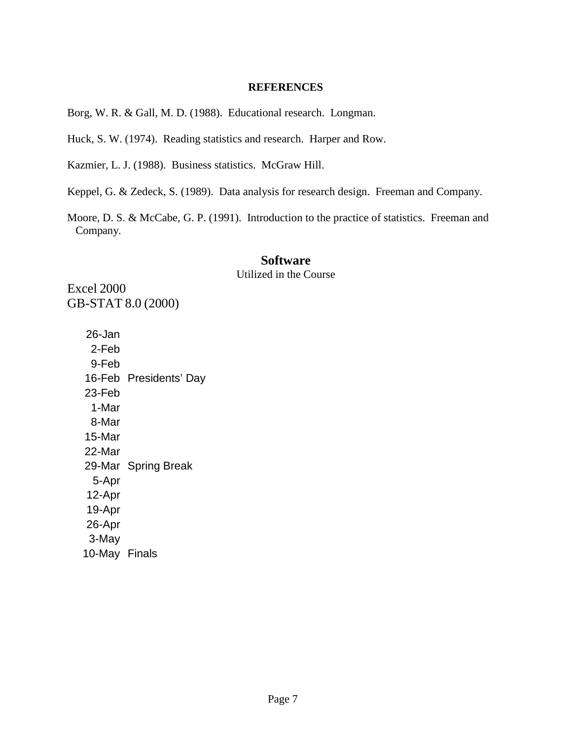### **REFERENCES**

Borg, W. R. & Gall, M. D. (1988). Educational research. Longman.

Huck, S. W. (1974). Reading statistics and research. Harper and Row.

Kazmier, L. J. (1988). Business statistics. McGraw Hill.

Keppel, G. & Zedeck, S. (1989). Data analysis for research design. Freeman and Company.

Moore, D. S. & McCabe, G. P. (1991). Introduction to the practice of statistics. Freeman and Company.

# **Software**

Utilized in the Course

Excel 2000 GB-STAT 8.0 (2000)

> 26-Jan 2-Feb 9-Feb 16-Feb Presidents' Day 23-Feb 1-Mar 8-Mar 15-Mar 22-Mar 29-Mar Spring Break 5-Apr 12-Apr 19-Apr 26-Apr 3-May 10-May Finals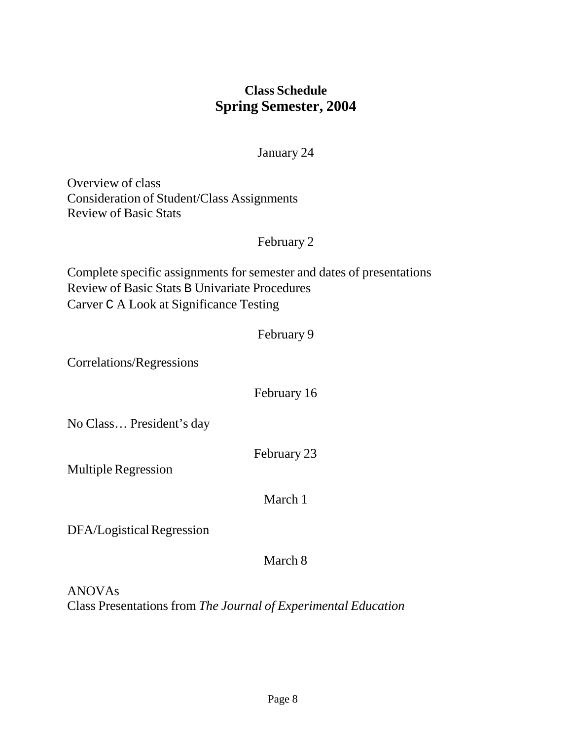# **Class Schedule Spring Semester, 2004**

## January 24

Overview of class Consideration of Student/Class Assignments Review of Basic Stats

# February 2

Complete specific assignments for semester and dates of presentations Review of Basic Stats B Univariate Procedures Carver C A Look at Significance Testing

# February 9

Correlations/Regressions

# February 16

No Class… President's day

February 23

Multiple Regression

March 1

DFA/Logistical Regression

# March 8

ANOVAs Class Presentations from *The Journal of Experimental Education*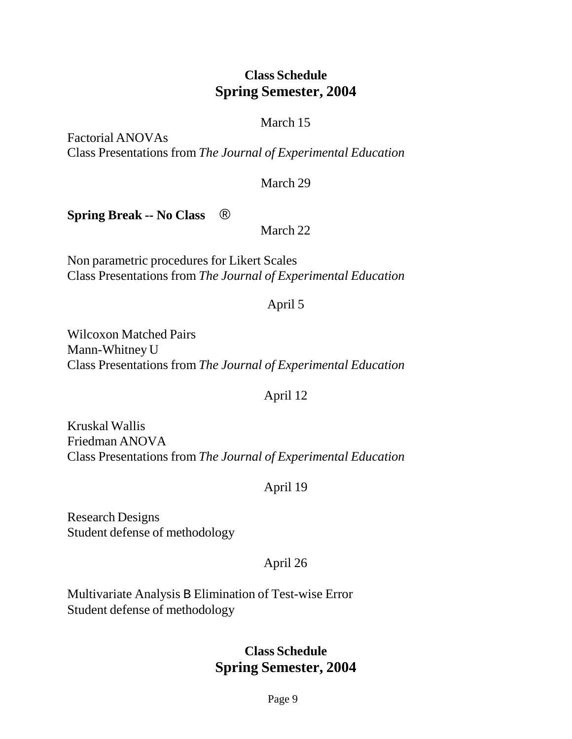# **Class Schedule Spring Semester, 2004**

# March 15

Factorial ANOVAs Class Presentations from *The Journal of Experimental Education*

# March 29

**Spring Break -- No Class** ®

March 22

Non parametric procedures for Likert Scales Class Presentations from *The Journal of Experimental Education*

# April 5

Wilcoxon Matched Pairs Mann-Whitney U Class Presentations from *The Journal of Experimental Education*

# April 12

Kruskal Wallis Friedman ANOVA Class Presentations from *The Journal of Experimental Education*

# April 19

Research Designs Student defense of methodology

# April 26

Multivariate Analysis B Elimination of Test-wise Error Student defense of methodology

# **Class Schedule Spring Semester, 2004**